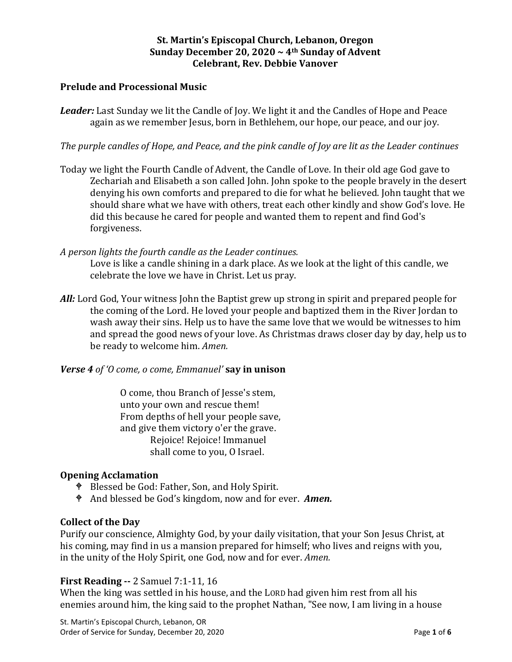# **St. Martin's Episcopal Church, Lebanon, Oregon Sunday December 20, 2020 ~ 4th Sunday of Advent Celebrant, Rev. Debbie Vanover**

## **Prelude and Processional Music**

*Leader:* Last Sunday we lit the Candle of Joy. We light it and the Candles of Hope and Peace again as we remember Jesus, born in Bethlehem, our hope, our peace, and our joy.

## *The purple candles of Hope, and Peace, and the pink candle of Joy are lit as the Leader continues*

- Today we light the Fourth Candle of Advent, the Candle of Love. In their old age God gave to Zechariah and Elisabeth a son called John. John spoke to the people bravely in the desert denying his own comforts and prepared to die for what he believed. John taught that we should share what we have with others, treat each other kindly and show God's love. He did this because he cared for people and wanted them to repent and find God's forgiveness.
- *A person lights the fourth candle as the Leader continues.*

Love is like a candle shining in a dark place. As we look at the light of this candle, we celebrate the love we have in Christ. Let us pray.

All: Lord God, Your witness John the Baptist grew up strong in spirit and prepared people for the coming of the Lord. He loved your people and baptized them in the River Jordan to wash away their sins. Help us to have the same love that we would be witnesses to him and spread the good news of your love. As Christmas draws closer day by day, help us to be ready to welcome him. *Amen.*

## *Verse 4 of 'O come, o come, Emmanuel'* **say in unison**

O come, thou Branch of Jesse's stem, unto your own and rescue them! From depths of hell your people save, and give them victory o'er the grave. Rejoice! Rejoice! Immanuel shall come to you, O Israel.

# **Opening Acclamation**

- <sup> $\bullet$ </sup> Blessed be God: Father, Son, and Holy Spirit.
- And blessed be God's kingdom, now and for ever. *Amen.*

## **Collect of the Day**

Purify our conscience, Almighty God, by your daily visitation, that your Son Jesus Christ, at his coming, may find in us a mansion prepared for himself; who lives and reigns with you, in the unity of the Holy Spirit, one God, now and for ever. *Amen.*

## **First Reading --** 2 Samuel 7:1-11, 16

When the king was settled in his house, and the LORD had given him rest from all his enemies around him, the king said to the prophet Nathan, "See now, I am living in a house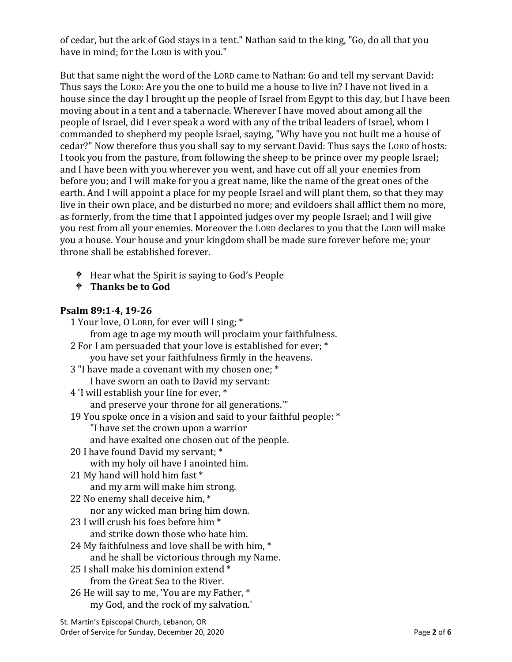of cedar, but the ark of God stays in a tent." Nathan said to the king, "Go, do all that you have in mind; for the LORD is with you."

But that same night the word of the LORD came to Nathan: Go and tell my servant David: Thus says the LORD: Are you the one to build me a house to live in? I have not lived in a house since the day I brought up the people of Israel from Egypt to this day, but I have been moving about in a tent and a tabernacle. Wherever I have moved about among all the people of Israel, did I ever speak a word with any of the tribal leaders of Israel, whom I commanded to shepherd my people Israel, saying, "Why have you not built me a house of cedar?" Now therefore thus you shall say to my servant David: Thus says the LORD of hosts: I took you from the pasture, from following the sheep to be prince over my people Israel; and I have been with you wherever you went, and have cut off all your enemies from before you; and I will make for you a great name, like the name of the great ones of the earth. And I will appoint a place for my people Israel and will plant them, so that they may live in their own place, and be disturbed no more; and evildoers shall afflict them no more, as formerly, from the time that I appointed judges over my people Israel; and I will give you rest from all your enemies. Moreover the LORD declares to you that the LORD will make you a house. Your house and your kingdom shall be made sure forever before me; your throne shall be established forever.

- Hear what the Spirit is saying to God's People
- **Thanks be to God**

# **Psalm 89:1-4, 19-26**

1 Your love, O LORD, for ever will I sing; \* from age to age my mouth will proclaim your faithfulness. 2 For I am persuaded that your love is established for ever; \* you have set your faithfulness firmly in the heavens. 3 "I have made a covenant with my chosen one; \* I have sworn an oath to David my servant: 4 'I will establish your line for ever, \* and preserve your throne for all generations.'" 19 You spoke once in a vision and said to your faithful people: \* "I have set the crown upon a warrior and have exalted one chosen out of the people. 20 I have found David my servant; \* with my holy oil have I anointed him. 21 My hand will hold him fast \* and my arm will make him strong. 22 No enemy shall deceive him, \* nor any wicked man bring him down. 23 I will crush his foes before him \* and strike down those who hate him. 24 My faithfulness and love shall be with him, \* and he shall be victorious through my Name. 25 I shall make his dominion extend \* from the Great Sea to the River. 26 He will say to me, 'You are my Father, \*

my God, and the rock of my salvation.'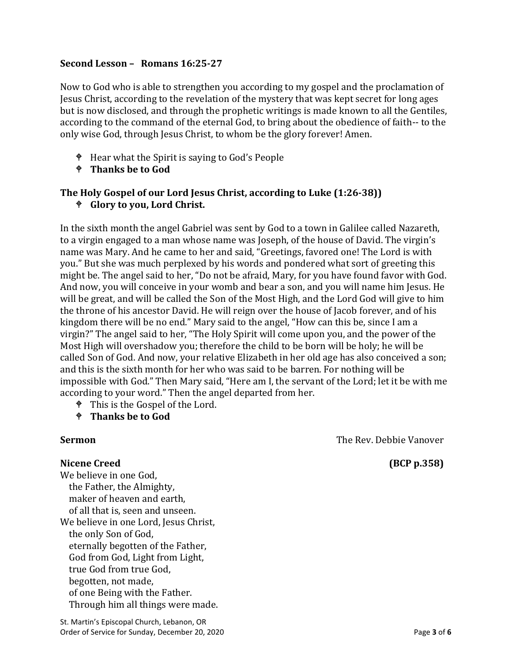# **Second Lesson – Romans 16:25-27**

Now to God who is able to strengthen you according to my gospel and the proclamation of Jesus Christ, according to the revelation of the mystery that was kept secret for long ages but is now disclosed, and through the prophetic writings is made known to all the Gentiles, according to the command of the eternal God, to bring about the obedience of faith-- to the only wise God, through Jesus Christ, to whom be the glory forever! Amen.

- $\bullet$  Hear what the Spirit is saying to God's People
- **Thanks be to God**

# **The Holy Gospel of our Lord Jesus Christ, according to Luke (1:26-38))**

**Glory to you, Lord Christ.**

In the sixth month the angel Gabriel was sent by God to a town in Galilee called Nazareth, to a virgin engaged to a man whose name was Joseph, of the house of David. The virgin's name was Mary. And he came to her and said, "Greetings, favored one! The Lord is with you." But she was much perplexed by his words and pondered what sort of greeting this might be. The angel said to her, "Do not be afraid, Mary, for you have found favor with God. And now, you will conceive in your womb and bear a son, and you will name him Jesus. He will be great, and will be called the Son of the Most High, and the Lord God will give to him the throne of his ancestor David. He will reign over the house of Jacob forever, and of his kingdom there will be no end." Mary said to the angel, "How can this be, since I am a virgin?" The angel said to her, "The Holy Spirit will come upon you, and the power of the Most High will overshadow you; therefore the child to be born will be holy; he will be called Son of God. And now, your relative Elizabeth in her old age has also conceived a son; and this is the sixth month for her who was said to be barren. For nothing will be impossible with God." Then Mary said, "Here am I, the servant of the Lord; let it be with me according to your word." Then the angel departed from her.

- $\bullet$  This is the Gospel of the Lord.
- **Thanks be to God**

## Nicene Creed **(BCP p.358)**

We believe in one God, the Father, the Almighty, maker of heaven and earth, of all that is, seen and unseen. We believe in one Lord, Jesus Christ, the only Son of God, eternally begotten of the Father, God from God, Light from Light, true God from true God, begotten, not made, of one Being with the Father. Through him all things were made.

St. Martin's Episcopal Church, Lebanon, OR Order of Service for Sunday, December 20, 2020 Page **3** of **6**

**Sermon** The Rev. Debbie Vanover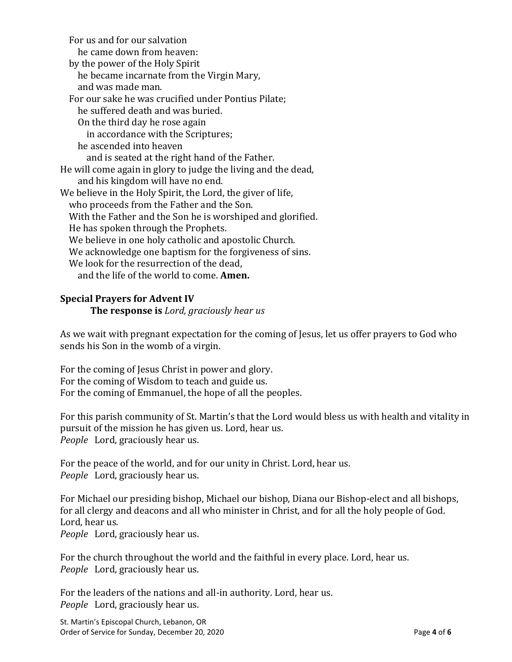For us and for our salvation he came down from heaven: by the power of the Holy Spirit he became incarnate from the Virgin Mary, and was made man. For our sake he was crucified under Pontius Pilate; he suffered death and was buried. On the third day he rose again in accordance with the Scriptures; he ascended into heaven and is seated at the right hand of the Father. He will come again in glory to judge the living and the dead, and his kingdom will have no end. We believe in the Holy Spirit, the Lord, the giver of life, who proceeds from the Father and the Son. With the Father and the Son he is worshiped and glorified. He has spoken through the Prophets. We believe in one holy catholic and apostolic Church. We acknowledge one baptism for the forgiveness of sins. We look for the resurrection of the dead, and the life of the world to come. **Amen.**

# **Special Prayers for Advent IV**

**The response is** *Lord, graciously hear us*

As we wait with pregnant expectation for the coming of Jesus, let us offer prayers to God who sends his Son in the womb of a virgin.

For the coming of Jesus Christ in power and glory. For the coming of Wisdom to teach and guide us. For the coming of Emmanuel, the hope of all the peoples.

For this parish community of St. Martin's that the Lord would bless us with health and vitality in pursuit of the mission he has given us. Lord, hear us. *People* Lord, graciously hear us.

For the peace of the world, and for our unity in Christ. Lord, hear us. *People* Lord, graciously hear us.

For Michael our presiding bishop, Michael our bishop, Diana our Bishop-elect and all bishops, for all clergy and deacons and all who minister in Christ, and for all the holy people of God. Lord, hear us.

*People* Lord, graciously hear us.

For the church throughout the world and the faithful in every place. Lord, hear us. *People* Lord, graciously hear us.

For the leaders of the nations and all-in authority. Lord, hear us. *People* Lord, graciously hear us.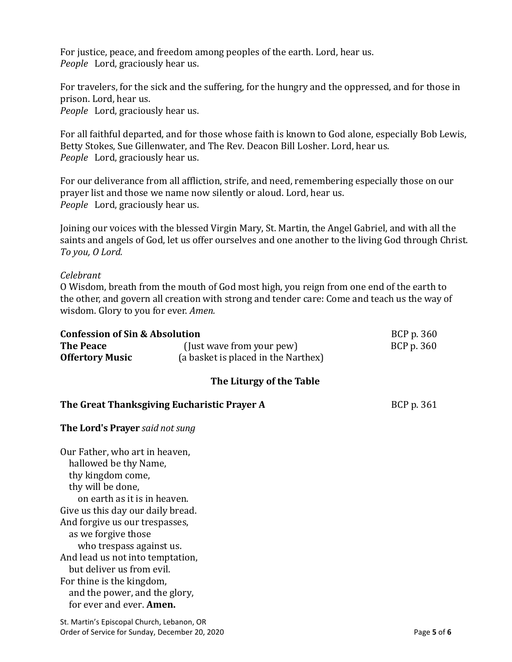For justice, peace, and freedom among peoples of the earth. Lord, hear us. *People* Lord, graciously hear us.

For travelers, for the sick and the suffering, for the hungry and the oppressed, and for those in prison. Lord, hear us.

*People* Lord, graciously hear us.

For all faithful departed, and for those whose faith is known to God alone, especially Bob Lewis, Betty Stokes, Sue Gillenwater, and The Rev. Deacon Bill Losher. Lord, hear us. *People* Lord, graciously hear us.

For our deliverance from all affliction, strife, and need, remembering especially those on our prayer list and those we name now silently or aloud. Lord, hear us. *People* Lord, graciously hear us.

Joining our voices with the blessed Virgin Mary, St. Martin, the Angel Gabriel, and with all the saints and angels of God, let us offer ourselves and one another to the living God through Christ. *To you, O Lord.*

## *Celebrant*

O Wisdom, breath from the mouth of God most high, you reign from one end of the earth to the other, and govern all creation with strong and tender care: Come and teach us the way of wisdom. Glory to you for ever. *Amen.*

| <b>Confession of Sin &amp; Absolution</b><br><b>The Peace</b><br><b>Offertory Music</b>                                                                                                                                                                                                                                                                                                                                | (Just wave from your pew)<br>(a basket is placed in the Narthex) | BCP p. 360<br>BCP p. 360 |
|------------------------------------------------------------------------------------------------------------------------------------------------------------------------------------------------------------------------------------------------------------------------------------------------------------------------------------------------------------------------------------------------------------------------|------------------------------------------------------------------|--------------------------|
|                                                                                                                                                                                                                                                                                                                                                                                                                        | The Liturgy of the Table                                         |                          |
| The Great Thanksgiving Eucharistic Prayer A                                                                                                                                                                                                                                                                                                                                                                            |                                                                  | BCP p. 361               |
| The Lord's Prayer said not sung                                                                                                                                                                                                                                                                                                                                                                                        |                                                                  |                          |
| Our Father, who art in heaven,<br>hallowed be thy Name,<br>thy kingdom come,<br>thy will be done,<br>on earth as it is in heaven.<br>Give us this day our daily bread.<br>And forgive us our trespasses,<br>as we forgive those<br>who trespass against us.<br>And lead us not into temptation,<br>but deliver us from evil.<br>For thine is the kingdom,<br>and the power, and the glory,<br>for ever and ever. Amen. |                                                                  |                          |
| St. Martin's Episcopal Church, Lebanon, OR<br>Order of Service for Sunday, December 20, 2020                                                                                                                                                                                                                                                                                                                           |                                                                  | Page 5 of 6              |